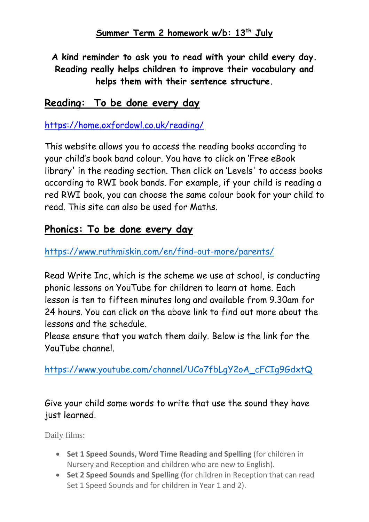**A kind reminder to ask you to read with your child every day. Reading really helps children to improve their vocabulary and helps them with their sentence structure.**

### **Reading: To be done every day**

<https://home.oxfordowl.co.uk/reading/>

This website allows you to access the reading books according to your child's book band colour. You have to click on 'F[ree eBook](https://www.oxfordowl.co.uk/for-home/find-a-book/library-page/)  [library](https://www.oxfordowl.co.uk/for-home/find-a-book/library-page/)' in the reading section. Then click on 'Levels' to access books according to RWI book bands. For example, if your child is reading a red RWI book, you can choose the same colour book for your child to read. This site can also be used for Maths.

#### **Phonics: To be done every day**

<https://www.ruthmiskin.com/en/find-out-more/parents/>

Read Write Inc, which is the scheme we use at school, is conducting phonic lessons on YouTube for children to learn at home. Each lesson is ten to fifteen minutes long and available from 9.30am for 24 hours. You can click on the above link to find out more about the lessons and the schedule.

Please ensure that you watch them daily. Below is the link for the YouTube channel.

[https://www.youtube.com/channel/UCo7fbLgY2oA\\_cFCIg9GdxtQ](https://www.youtube.com/channel/UCo7fbLgY2oA_cFCIg9GdxtQ)

Give your child some words to write that use the sound they have just learned.

Daily films:

- **Set 1 Speed Sounds, Word Time Reading and Spelling** (for children in Nursery and Reception and children who are new to English).
- **Set 2 Speed Sounds and Spelling** (for children in Reception that can read Set 1 Speed Sounds and for children in Year 1 and 2).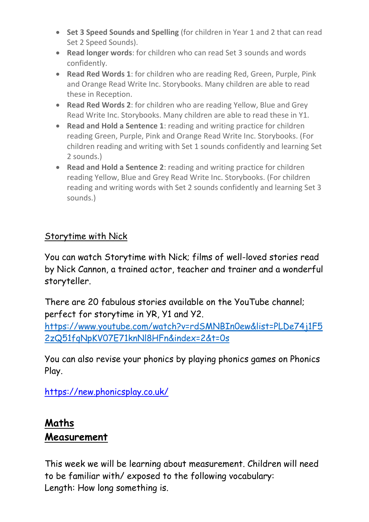- **Set 3 Speed Sounds and Spelling** (for children in Year 1 and 2 that can read Set 2 Speed Sounds).
- **Read longer words**: for children who can read Set 3 sounds and words confidently.
- **Read Red Words 1**: for children who are reading Red, Green, Purple, Pink and Orange Read Write Inc. Storybooks. Many children are able to read these in Reception.
- **Read Red Words 2**: for children who are reading Yellow, Blue and Grey Read Write Inc. Storybooks. Many children are able to read these in Y1.
- **Read and Hold a Sentence 1**: reading and writing practice for children reading Green, Purple, Pink and Orange Read Write Inc. Storybooks. (For children reading and writing with Set 1 sounds confidently and learning Set 2 sounds.)
- **Read and Hold a Sentence 2**: reading and writing practice for children reading Yellow, Blue and Grey Read Write Inc. Storybooks. (For children reading and writing words with Set 2 sounds confidently and learning Set 3 sounds.)

### Storytime with Nick

You can watch Storytime with Nick; films of well-loved stories read by Nick Cannon, a trained actor, teacher and trainer and a wonderful storyteller.

There are 20 fabulous stories available on the YouTube channel; perfect for storytime in YR, Y1 and Y2.

[https://www.youtube.com/watch?v=rdSMNBIn0ew&list=PLDe74j1F5](https://www.youtube.com/watch?v=rdSMNBIn0ew&list=PLDe74j1F52zQ51fqNpKV07E71knNl8HFn&index=2&t=0s) [2zQ51fqNpKV07E71knNl8HFn&index=2&t=0s](https://www.youtube.com/watch?v=rdSMNBIn0ew&list=PLDe74j1F52zQ51fqNpKV07E71knNl8HFn&index=2&t=0s)

You can also revise your phonics by playing phonics games on Phonics Play.

<https://new.phonicsplay.co.uk/>

# **Maths Measurement**

This week we will be learning about measurement. Children will need to be familiar with/ exposed to the following vocabulary: Length: How long something is.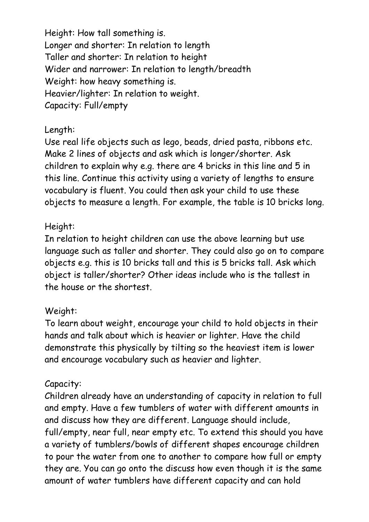Height: How tall something is. Longer and shorter: In relation to length Taller and shorter: In relation to height Wider and narrower: In relation to length/breadth Weight: how heavy something is. Heavier/lighter: In relation to weight. Capacity: Full/empty

#### Length:

Use real life objects such as lego, beads, dried pasta, ribbons etc. Make 2 lines of objects and ask which is longer/shorter. Ask children to explain why e.g. there are 4 bricks in this line and 5 in this line. Continue this activity using a variety of lengths to ensure vocabulary is fluent. You could then ask your child to use these objects to measure a length. For example, the table is 10 bricks long.

#### Height:

In relation to height children can use the above learning but use language such as taller and shorter. They could also go on to compare objects e.g. this is 10 bricks tall and this is 5 bricks tall. Ask which object is taller/shorter? Other ideas include who is the tallest in the house or the shortest.

#### Weight:

To learn about weight, encourage your child to hold objects in their hands and talk about which is heavier or lighter. Have the child demonstrate this physically by tilting so the heaviest item is lower and encourage vocabulary such as heavier and lighter.

#### Capacity:

Children already have an understanding of capacity in relation to full and empty. Have a few tumblers of water with different amounts in and discuss how they are different. Language should include, full/empty, near full, near empty etc. To extend this should you have a variety of tumblers/bowls of different shapes encourage children to pour the water from one to another to compare how full or empty they are. You can go onto the discuss how even though it is the same amount of water tumblers have different capacity and can hold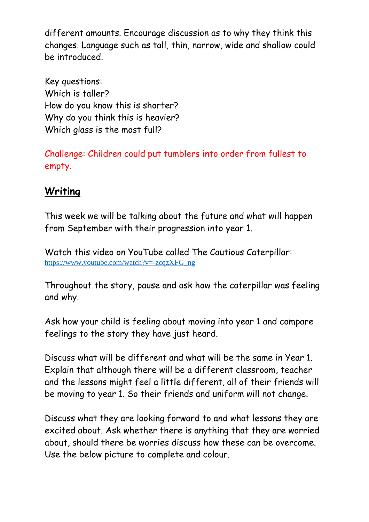different amounts. Encourage discussion as to why they think this changes. Language such as tall, thin, narrow, wide and shallow could be introduced.

Key questions: Which is taller? How do you know this is shorter? Why do you think this is heavier? Which glass is the most full?

Challenge: Children could put tumblers into order from fullest to empty.

## **Writing**

This week we will be talking about the future and what will happen from September with their progression into year 1.

Watch this video on YouTube called The Cautious Caterpillar: [https://www.youtube.com/watch?v=-zcqzXFG\\_ng](https://www.youtube.com/watch?v=-zcqzXFG_ng)

Throughout the story, pause and ask how the caterpillar was feeling and why.

Ask how your child is feeling about moving into year 1 and compare feelings to the story they have just heard.

Discuss what will be different and what will be the same in Year 1. Explain that although there will be a different classroom, teacher and the lessons might feel a little different, all of their friends will be moving to year 1. So their friends and uniform will not change.

Discuss what they are looking forward to and what lessons they are excited about. Ask whether there is anything that they are worried about, should there be worries discuss how these can be overcome. Use the below picture to complete and colour.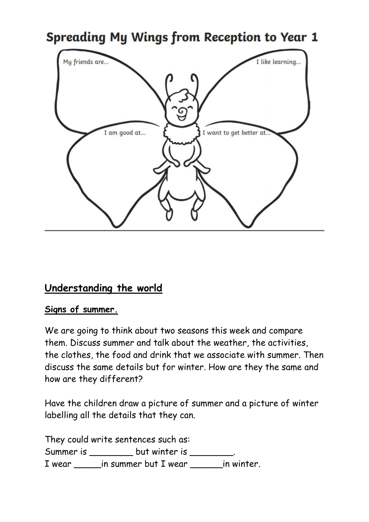

## **Understanding the world**

#### **Signs of summer.**

We are going to think about two seasons this week and compare them. Discuss summer and talk about the weather, the activities, the clothes, the food and drink that we associate with summer. Then discuss the same details but for winter. How are they the same and how are they different?

Have the children draw a picture of summer and a picture of winter labelling all the details that they can.

They could write sentences such as: Summer is \_\_\_\_\_\_\_\_\_\_ but winter is \_\_\_\_\_\_\_ I wear \_\_\_\_\_in summer but I wear \_\_\_\_\_\_in winter.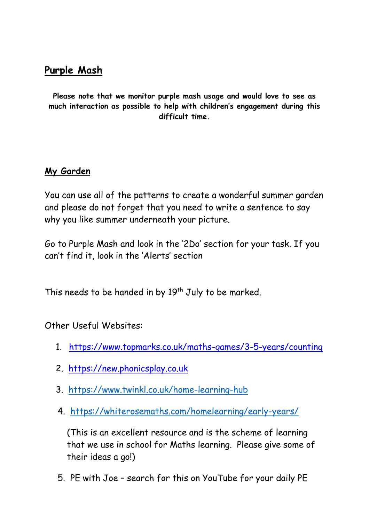## **Purple Mash**

**Please note that we monitor purple mash usage and would love to see as much interaction as possible to help with children's engagement during this difficult time.** 

#### **My Garden**

You can use all of the patterns to create a wonderful summer garden and please do not forget that you need to write a sentence to say why you like summer underneath your picture.

Go to Purple Mash and look in the '2Do' section for your task. If you can't find it, look in the 'Alerts' section

This needs to be handed in by 19<sup>th</sup> July to be marked.

Other Useful Websites:

- 1. <https://www.topmarks.co.uk/maths-games/3-5-years/counting>
- 2. [https://new.phonicsplay.co.uk](https://new.phonicsplay.co.uk/)
- 3. <https://www.twinkl.co.uk/home-learning-hub>
- 4. <https://whiterosemaths.com/homelearning/early-years/>

(This is an excellent resource and is the scheme of learning that we use in school for Maths learning. Please give some of their ideas a go!)

5. PE with Joe – search for this on YouTube for your daily PE